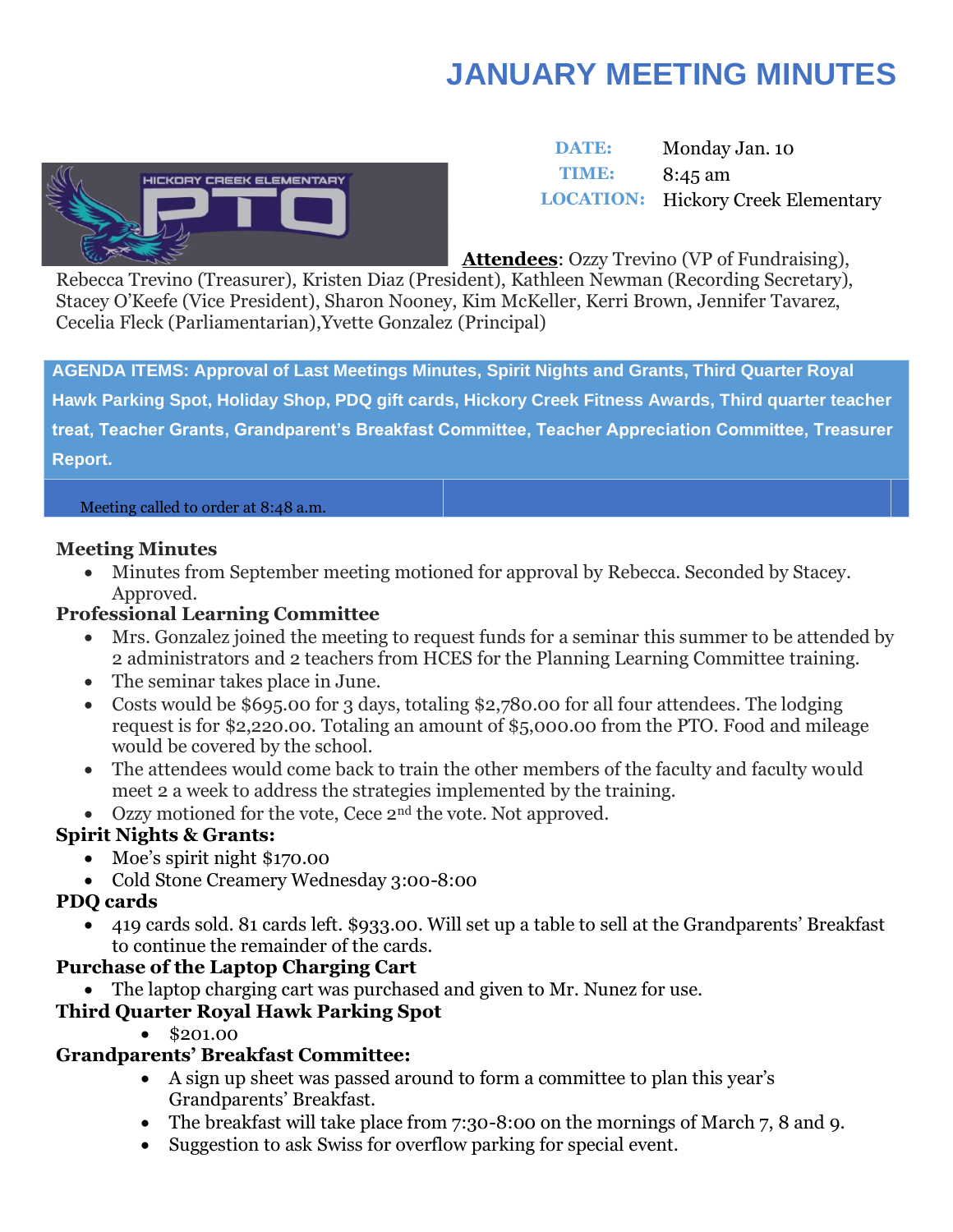# **JANUARY MEETING MINUTES**



 **DATE:** Monday Jan. 10 **TIME:** 8:45 am **LOCATION:** Hickory Creek Elementary

**Attendees**: Ozzy Trevino (VP of Fundraising),

Rebecca Trevino (Treasurer), Kristen Diaz (President), Kathleen Newman (Recording Secretary), Stacey O'Keefe (Vice President), Sharon Nooney, Kim McKeller, Kerri Brown, Jennifer Tavarez, Cecelia Fleck (Parliamentarian),Yvette Gonzalez (Principal)

**AGENDA ITEMS: Approval of Last Meetings Minutes, Spirit Nights and Grants, Third Quarter Royal Hawk Parking Spot, Holiday Shop, PDQ gift cards, Hickory Creek Fitness Awards, Third quarter teacher treat, Teacher Grants, Grandparent's Breakfast Committee, Teacher Appreciation Committee, Treasurer Report.**

#### Meeting called to order at 8:48 a.m.

### **Meeting Minutes**

• Minutes from September meeting motioned for approval by Rebecca. Seconded by Stacey. Approved.

### **Professional Learning Committee**

- Mrs. Gonzalez joined the meeting to request funds for a seminar this summer to be attended by 2 administrators and 2 teachers from HCES for the Planning Learning Committee training.
- The seminar takes place in June.
- Costs would be \$695.00 for 3 days, totaling \$2,780.00 for all four attendees. The lodging request is for \$2,220.00. Totaling an amount of \$5,000.00 from the PTO. Food and mileage would be covered by the school.
- The attendees would come back to train the other members of the faculty and faculty would meet 2 a week to address the strategies implemented by the training.
- Ozzy motioned for the vote, Cece  $2<sup>nd</sup>$  the vote. Not approved.

## **Spirit Nights & Grants:**

- Moe's spirit night \$170.00
- Cold Stone Creamery Wednesday 3:00-8:00

## **PDQ cards**

• 419 cards sold. 81 cards left. \$933.00. Will set up a table to sell at the Grandparents' Breakfast to continue the remainder of the cards.

## **Purchase of the Laptop Charging Cart**

• The laptop charging cart was purchased and given to Mr. Nunez for use.

## **Third Quarter Royal Hawk Parking Spot**

• \$201.00

## **Grandparents' Breakfast Committee:**

- A sign up sheet was passed around to form a committee to plan this year's Grandparents' Breakfast.
- The breakfast will take place from 7:30-8:00 on the mornings of March 7, 8 and 9.
- Suggestion to ask Swiss for overflow parking for special event.